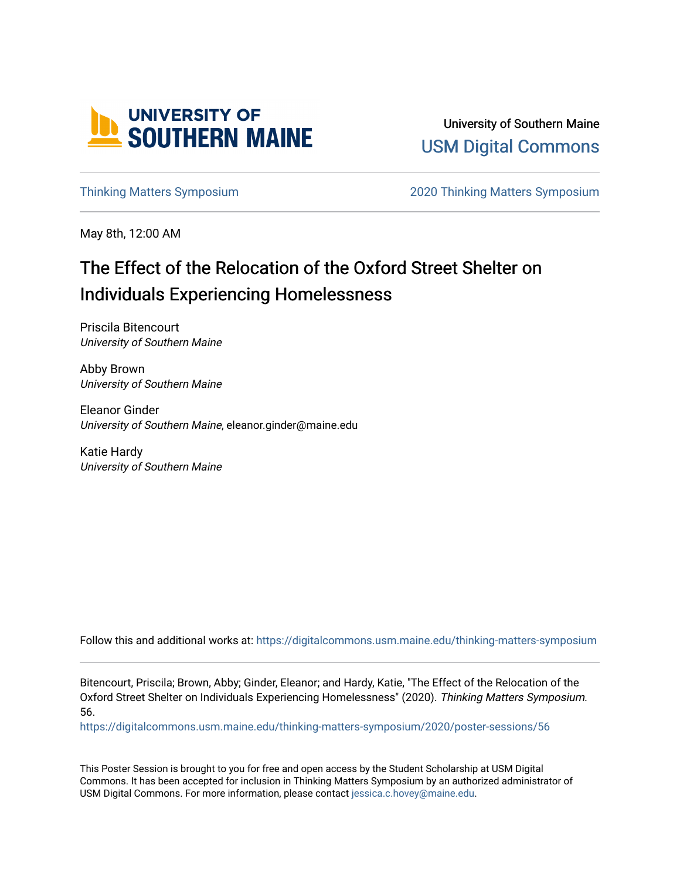

University of Southern Maine [USM Digital Commons](https://digitalcommons.usm.maine.edu/) 

[Thinking Matters Symposium](https://digitalcommons.usm.maine.edu/thinking-matters-symposium) [2020 Thinking Matters Symposium](https://digitalcommons.usm.maine.edu/thinking-matters-symposium/2020) 

May 8th, 12:00 AM

# The Effect of the Relocation of the Oxford Street Shelter on Individuals Experiencing Homelessness

Priscila Bitencourt University of Southern Maine

Abby Brown University of Southern Maine

Eleanor Ginder University of Southern Maine, eleanor.ginder@maine.edu

Katie Hardy University of Southern Maine

Follow this and additional works at: [https://digitalcommons.usm.maine.edu/thinking-matters-symposium](https://digitalcommons.usm.maine.edu/thinking-matters-symposium?utm_source=digitalcommons.usm.maine.edu%2Fthinking-matters-symposium%2F2020%2Fposter-sessions%2F56&utm_medium=PDF&utm_campaign=PDFCoverPages) 

Bitencourt, Priscila; Brown, Abby; Ginder, Eleanor; and Hardy, Katie, "The Effect of the Relocation of the Oxford Street Shelter on Individuals Experiencing Homelessness" (2020). Thinking Matters Symposium. 56.

[https://digitalcommons.usm.maine.edu/thinking-matters-symposium/2020/poster-sessions/56](https://digitalcommons.usm.maine.edu/thinking-matters-symposium/2020/poster-sessions/56?utm_source=digitalcommons.usm.maine.edu%2Fthinking-matters-symposium%2F2020%2Fposter-sessions%2F56&utm_medium=PDF&utm_campaign=PDFCoverPages) 

This Poster Session is brought to you for free and open access by the Student Scholarship at USM Digital Commons. It has been accepted for inclusion in Thinking Matters Symposium by an authorized administrator of USM Digital Commons. For more information, please contact [jessica.c.hovey@maine.edu](mailto:ian.fowler@maine.edu).